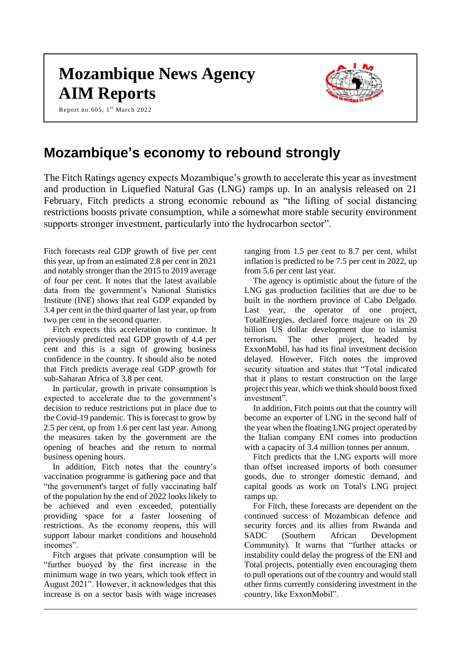# **Mozambique News Agency AIM Reports**

Report no.605,  $1^{st}$  March 2022



# **Mozambique's economy to rebound strongly**

The Fitch Ratings agency expects Mozambique's growth to accelerate this year as investment and production in Liquefied Natural Gas (LNG) ramps up. In an analysis released on 21 February, Fitch predicts a strong economic rebound as "the lifting of social distancing restrictions boosts private consumption, while a somewhat more stable security environment supports stronger investment, particularly into the hydrocarbon sector".

Fitch forecasts real GDP growth of five per cent this year, up from an estimated 2.8 per cent in 2021 and notably stronger than the 2015 to 2019 average of four per cent. It notes that the latest available data from the government's National Statistics Institute (INE) shows that real GDP expanded by 3.4 per cent in the third quarter of last year, up from two per cent in the second quarter.

Fitch expects this acceleration to continue. It previously predicted real GDP growth of 4.4 per cent and this is a sign of growing business confidence in the country. It should also be noted that Fitch predicts average real GDP growth for sub-Saharan Africa of 3.8 per cent.

In particular, growth in private consumption is expected to accelerate due to the government's decision to reduce restrictions put in place due to the Covid-19 pandemic. This is forecast to grow by 2.5 per cent, up from 1.6 per cent last year. Among the measures taken by the government are the opening of beaches and the return to normal business opening hours.

In addition, Fitch notes that the country's vaccination programme is gathering pace and that "the government's target of fully vaccinating half of the population by the end of 2022 looks likely to be achieved and even exceeded, potentially providing space for a faster loosening of restrictions. As the economy reopens, this will support labour market conditions and household incomes".

Fitch argues that private consumption will be "further buoyed by the first increase in the minimum wage in two years, which took effect in August 2021". However, it acknowledges that this increase is on a sector basis with wage increases

ranging from 1.5 per cent to 8.7 per cent, whilst inflation is predicted to be 7.5 per cent in 2022, up from 5.6 per cent last year.

The agency is optimistic about the future of the LNG gas production facilities that are due to be built in the northern province of Cabo Delgado. Last year, the operator of one project, TotalEnergies, declared force majeure on its 20 billion US dollar development due to islamist terrorism. The other project, headed by ExxonMobil, has had its final investment decision delayed. However, Fitch notes the improved security situation and states that "Total indicated that it plans to restart construction on the large project this year, which we think should boost fixed investment".

In addition, Fitch points out that the country will become an exporter of LNG in the second half of the year when the floating LNG project operated by the Italian company ENI comes into production with a capacity of 3.4 million tonnes per annum.

Fitch predicts that the LNG exports will more than offset increased imports of both consumer goods, due to stronger domestic demand, and capital goods as work on Total's LNG project ramps up.

For Fitch, these forecasts are dependent on the continued success of Mozambican defence and security forces and its allies from Rwanda and SADC (Southern African Development Community). It warns that "further attacks or instability could delay the progress of the ENI and Total projects, potentially even encouraging them to pull operations out of the country and would stall other firms currently considering investment in the country, like ExxonMobil".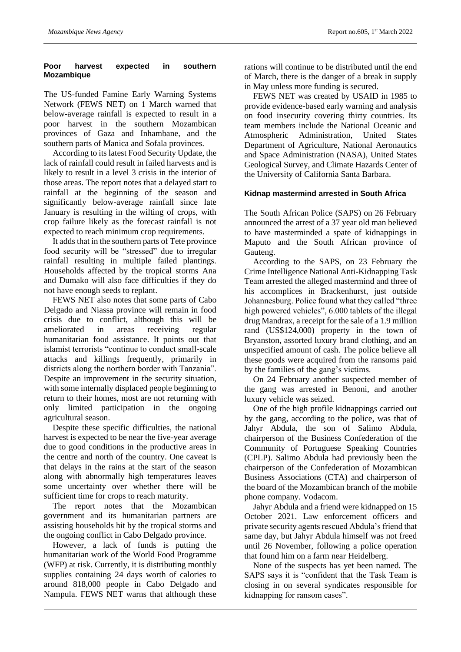#### **Poor harvest expected in southern Mozambique**

The US-funded Famine Early Warning Systems Network (FEWS NET) on 1 March warned that below-average rainfall is expected to result in a poor harvest in the southern Mozambican provinces of Gaza and Inhambane, and the southern parts of Manica and Sofala provinces.

According to its latest Food Security Update, the lack of rainfall could result in failed harvests and is likely to result in a level 3 crisis in the interior of those areas. The report notes that a delayed start to rainfall at the beginning of the season and significantly below-average rainfall since late January is resulting in the wilting of crops, with crop failure likely as the forecast rainfall is not expected to reach minimum crop requirements.

It adds that in the southern parts of Tete province food security will be "stressed" due to irregular rainfall resulting in multiple failed plantings. Households affected by the tropical storms Ana and Dumako will also face difficulties if they do not have enough seeds to replant.

FEWS NET also notes that some parts of Cabo Delgado and Niassa province will remain in food crisis due to conflict, although this will be ameliorated in areas receiving regular humanitarian food assistance. It points out that islamist terrorists "continue to conduct small-scale attacks and killings frequently, primarily in districts along the northern border with Tanzania". Despite an improvement in the security situation, with some internally displaced people beginning to return to their homes, most are not returning with only limited participation in the ongoing agricultural season.

Despite these specific difficulties, the national harvest is expected to be near the five-year average due to good conditions in the productive areas in the centre and north of the country. One caveat is that delays in the rains at the start of the season along with abnormally high temperatures leaves some uncertainty over whether there will be sufficient time for crops to reach maturity.

The report notes that the Mozambican government and its humanitarian partners are assisting households hit by the tropical storms and the ongoing conflict in Cabo Delgado province.

However, a lack of funds is putting the humanitarian work of the World Food Programme (WFP) at risk. Currently, it is distributing monthly supplies containing 24 days worth of calories to around 818,000 people in Cabo Delgado and Nampula. FEWS NET warns that although these

rations will continue to be distributed until the end of March, there is the danger of a break in supply in May unless more funding is secured.

FEWS NET was created by USAID in 1985 to provide evidence-based early warning and analysis on food insecurity covering thirty countries. Its team members include the National Oceanic and Atmospheric Administration, United States Department of Agriculture, National Aeronautics and Space Administration (NASA), United States Geological Survey, and Climate Hazards Center of the University of California Santa Barbara.

#### **Kidnap mastermind arrested in South Africa**

The South African Police (SAPS) on 26 February announced the arrest of a 37 year old man believed to have masterminded a spate of kidnappings in Maputo and the South African province of Gauteng.

According to the SAPS, on 23 February the Crime Intelligence National Anti-Kidnapping Task Team arrested the alleged mastermind and three of his accomplices in Brackenhurst, just outside Johannesburg. Police found what they called "three high powered vehicles", 6.000 tablets of the illegal drug Mandrax, a receipt for the sale of a 1.9 million rand (US\$124,000) property in the town of Bryanston, assorted luxury brand clothing, and an unspecified amount of cash. The police believe all these goods were acquired from the ransoms paid by the families of the gang's victims.

On 24 February another suspected member of the gang was arrested in Benoni, and another luxury vehicle was seized.

One of the high profile kidnappings carried out by the gang, according to the police, was that of Jahyr Abdula, the son of Salimo Abdula, chairperson of the Business Confederation of the Community of Portuguese Speaking Countries (CPLP). Salimo Abdula had previously been the chairperson of the Confederation of Mozambican Business Associations (CTA) and chairperson of the board of the Mozambican branch of the mobile phone company. Vodacom.

Jahyr Abdula and a friend were kidnapped on 15 October 2021. Law enforcement officers and private security agents rescued Abdula's friend that same day, but Jahyr Abdula himself was not freed until 26 November, following a police operation that found him on a farm near Heidelberg.

None of the suspects has yet been named. The SAPS says it is "confident that the Task Team is closing in on several syndicates responsible for kidnapping for ransom cases".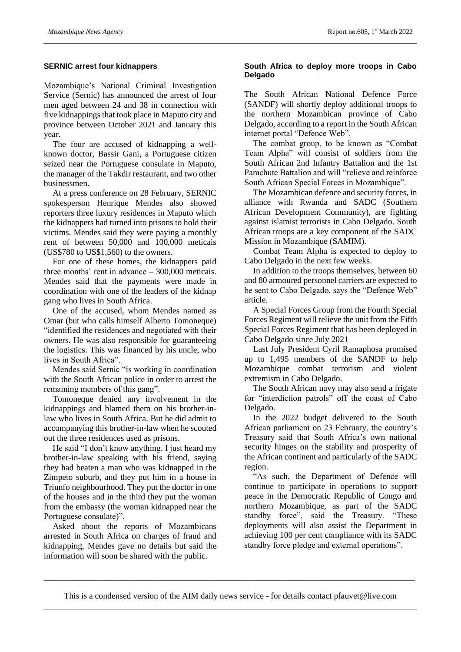#### **SERNIC arrest four kidnappers**

Mozambique's National Criminal Investigation Service (Sernic) has announced the arrest of four men aged between 24 and 38 in connection with five kidnappings that took place in Maputo city and province between October 2021 and January this year.

The four are accused of kidnapping a wellknown doctor, Bassir Gani, a Portuguese citizen seized near the Portuguese consulate in Maputo, the manager of the Takdir restaurant, and two other businessmen.

At a press conference on 28 February, SERNIC spokesperson Henrique Mendes also showed reporters three luxury residences in Maputo which the kidnappers had turned into prisons to hold their victims. Mendes said they were paying a monthly rent of between 50,000 and 100,000 meticais (US\$780 to US\$1,560) to the owners.

For one of these homes, the kidnappers paid three months' rent in advance – 300,000 meticais. Mendes said that the payments were made in coordination with one of the leaders of the kidnap gang who lives in South Africa.

One of the accused, whom Mendes named as Omar (but who calls himself Alberto Tomoneque) "identified the residences and negotiated with their owners. He was also responsible for guaranteeing the logistics. This was financed by his uncle, who lives in South Africa".

Mendes said Sernic "is working in coordination with the South African police in order to arrest the remaining members of this gang".

Tomoneque denied any involvement in the kidnappings and blamed them on his brother-inlaw who lives in South Africa. But he did admit to accompanying this brother-in-law when he scouted out the three residences used as prisons.

He said "I don't know anything. I just heard my brother-in-law speaking with his friend, saying they had beaten a man who was kidnapped in the Zimpeto suburb, and they put him in a house in Triunfo neighbourhood. They put the doctor in one of the houses and in the third they put the woman from the embassy (the woman kidnapped near the Portuguese consulate)".

Asked about the reports of Mozambicans arrested in South Africa on charges of fraud and kidnapping, Mendes gave no details but said the information will soon be shared with the public.

#### **South Africa to deploy more troops in Cabo Delgado**

The South African National Defence Force (SANDF) will shortly deploy additional troops to the northern Mozambican province of Cabo Delgado, according to a report in the South African internet portal "Defence Web".

The combat group, to be known as "Combat Team Alpha" will consist of soldiers from the South African 2nd Infantry Battalion and the 1st Parachute Battalion and will "relieve and reinforce South African Special Forces in Mozambique".

The Mozambican defence and security forces, in alliance with Rwanda and SADC (Southern African Development Community), are fighting against islamist terrorists in Cabo Delgado. South African troops are a key component of the SADC Mission in Mozambique (SAMIM).

Combat Team Alpha is expected to deploy to Cabo Delgado in the next few weeks.

In addition to the troops themselves, between 60 and 80 armoured personnel carriers are expected to be sent to Cabo Delgado, says the "Defence Web" article.

A Special Forces Group from the Fourth Special Forces Regiment will relieve the unit from the Fifth Special Forces Regiment that has been deployed in Cabo Delgado since July 2021

Last July President Cyril Ramaphosa promised up to 1,495 members of the SANDF to help Mozambique combat terrorism and violent extremism in Cabo Delgado.

The South African navy may also send a frigate for "interdiction patrols" off the coast of Cabo Delgado.

In the 2022 budget delivered to the South African parliament on 23 February, the country's Treasury said that South Africa's own national security hinges on the stability and prosperity of the African continent and particularly of the SADC region.

"As such, the Department of Defence will continue to participate in operations to support peace in the Democratic Republic of Congo and northern Mozambique, as part of the SADC standby force", said the Treasury. "These deployments will also assist the Department in achieving 100 per cent compliance with its SADC standby force pledge and external operations".

This is a condensed version of the AIM daily news service - for details contact pfauvet@live.com

\_\_\_\_\_\_\_\_\_\_\_\_\_\_\_\_\_\_\_\_\_\_\_\_\_\_\_\_\_\_\_\_\_\_\_\_\_\_\_\_\_\_\_\_\_\_\_\_\_\_\_\_\_\_\_\_\_\_\_\_\_\_\_\_\_\_\_\_\_\_\_\_\_\_\_\_\_\_\_\_\_\_\_\_\_\_\_\_\_\_\_\_\_\_\_\_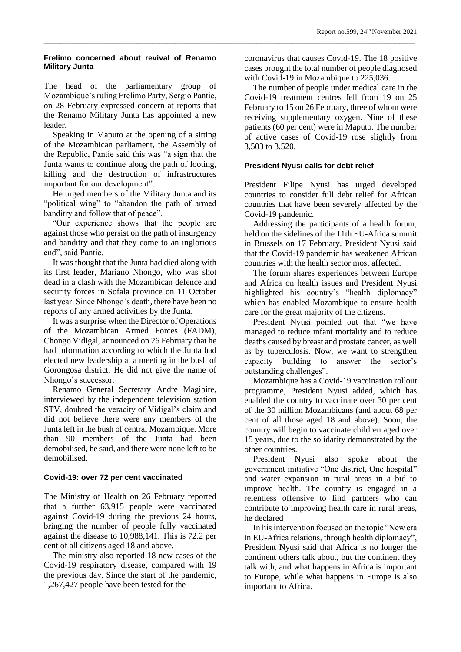#### **Frelimo concerned about revival of Renamo Military Junta**

*\_\_\_\_\_\_\_\_\_\_\_\_\_\_\_\_\_\_\_\_\_\_\_\_\_\_\_\_\_\_\_\_\_\_\_\_\_\_\_\_\_\_\_\_\_\_\_\_\_\_\_\_\_\_\_\_\_\_\_\_\_\_\_\_\_\_\_\_\_\_\_\_\_\_\_\_\_\_\_\_\_\_\_\_\_\_\_\_\_\_\_\_\_\_\_\_*

The head of the parliamentary group of Mozambique's ruling Frelimo Party, Sergio Pantie, on 28 February expressed concern at reports that the Renamo Military Junta has appointed a new leader.

Speaking in Maputo at the opening of a sitting of the Mozambican parliament, the Assembly of the Republic, Pantie said this was "a sign that the Junta wants to continue along the path of looting, killing and the destruction of infrastructures important for our development".

He urged members of the Military Junta and its "political wing" to "abandon the path of armed banditry and follow that of peace".

"Our experience shows that the people are against those who persist on the path of insurgency and banditry and that they come to an inglorious end", said Pantie.

It was thought that the Junta had died along with its first leader, Mariano Nhongo, who was shot dead in a clash with the Mozambican defence and security forces in Sofala province on 11 October last year. Since Nhongo's death, there have been no reports of any armed activities by the Junta.

It was a surprise when the Director of Operations of the Mozambican Armed Forces (FADM), Chongo Vidigal, announced on 26 February that he had information according to which the Junta had elected new leadership at a meeting in the bush of Gorongosa district. He did not give the name of Nhongo's successor.

Renamo General Secretary Andre Magibire, interviewed by the independent television station STV, doubted the veracity of Vidigal's claim and did not believe there were any members of the Junta left in the bush of central Mozambique. More than 90 members of the Junta had been demobilised, he said, and there were none left to be demobilised.

#### **Covid-19: over 72 per cent vaccinated**

The Ministry of Health on 26 February reported that a further 63,915 people were vaccinated against Covid-19 during the previous 24 hours, bringing the number of people fully vaccinated against the disease to 10,988,141. This is 72.2 per cent of all citizens aged 18 and above.

The ministry also reported 18 new cases of the Covid-19 respiratory disease, compared with 19 the previous day. Since the start of the pandemic, 1,267,427 people have been tested for the

coronavirus that causes Covid-19. The 18 positive cases brought the total number of people diagnosed with Covid-19 in Mozambique to 225,036.

The number of people under medical care in the Covid-19 treatment centres fell from 19 on 25 February to 15 on 26 February, three of whom were receiving supplementary oxygen. Nine of these patients (60 per cent) were in Maputo. The number of active cases of Covid-19 rose slightly from 3,503 to 3,520.

#### **President Nyusi calls for debt relief**

President Filipe Nyusi has urged developed countries to consider full debt relief for African countries that have been severely affected by the Covid-19 pandemic.

Addressing the participants of a health forum, held on the sidelines of the 11th EU-Africa summit in Brussels on 17 February, President Nyusi said that the Covid-19 pandemic has weakened African countries with the health sector most affected.

The forum shares experiences between Europe and Africa on health issues and President Nyusi highlighted his country's "health diplomacy" which has enabled Mozambique to ensure health care for the great majority of the citizens.

President Nyusi pointed out that "we have managed to reduce infant mortality and to reduce deaths caused by breast and prostate cancer, as well as by tuberculosis. Now, we want to strengthen capacity building to answer the sector's outstanding challenges".

Mozambique has a Covid-19 vaccination rollout programme, President Nyusi added, which has enabled the country to vaccinate over 30 per cent of the 30 million Mozambicans (and about 68 per cent of all those aged 18 and above). Soon, the country will begin to vaccinate children aged over 15 years, due to the solidarity demonstrated by the other countries.

President Nyusi also spoke about the government initiative "One district, One hospital" and water expansion in rural areas in a bid to improve health. The country is engaged in a relentless offensive to find partners who can contribute to improving health care in rural areas, he declared

In his intervention focused on the topic "New era in EU-Africa relations, through health diplomacy", President Nyusi said that Africa is no longer the continent others talk about, but the continent they talk with, and what happens in Africa is important to Europe, while what happens in Europe is also important to Africa.